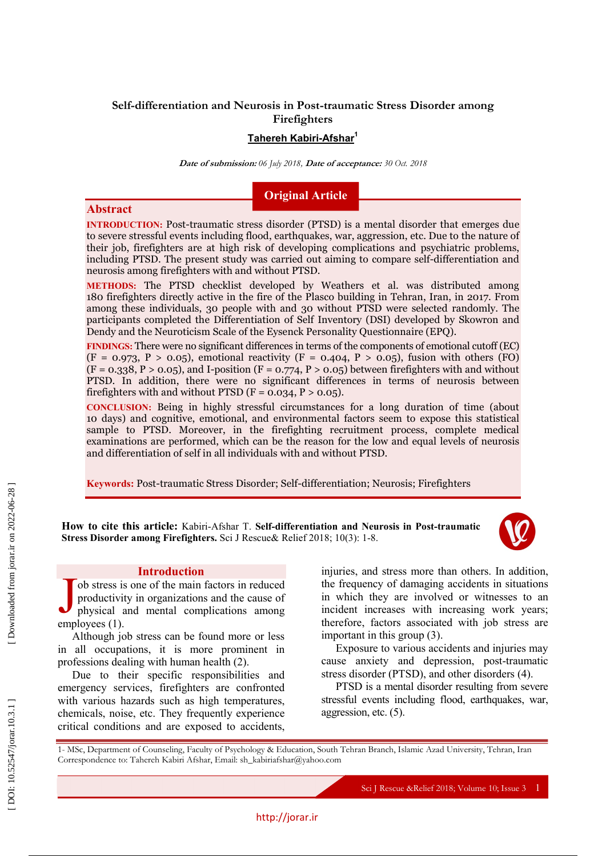# **Self-differentiation and Neurosis in Post -traumatic Stress Disorder among Firefighters**

## **Tahereh Kabiri -Afshar 1**

**Date of submission:** *06 July 2018,* **Date of acceptance:** *30 Oct. 2018*

## **Original Article**

## **Abstract**

**INTRODUCTION :** Post -traumatic stress disorder (PTSD) is a mental disorder that emerges due to severe stressful events including flood, earthquakes, war, aggression, etc. Due to the nature of their job, firefighters are at high risk of developing complications and psychiatric problems, including PTSD. The present study was carried out aiming to compare self-differentiation and neurosis among firefighters with and without PTSD .

**METHODS:** The PTSD checklist developed by Weathers et al. was distributed among 180 firefighters directly active in the fire of the Plasco building in Tehran, Iran, in 2017. From among these individuals, 30 people with and 30 without PTSD were selected randomly . The participants completed the Differentiation of Self Inventory (DSI) developed by Skowron and Dendy and the Neuroticism Scale of the Eysenck Personality Questionnaire (EPQ) .

**FINDINGS :** There were no significant differences in terms of the components of emotional cutoff (EC)  $(F = 0.973, P > 0.05)$ , emotional reactivity  $(F = 0.404, P > 0.05)$ , fusion with others (FO)  $(F = 0.338, P > 0.05)$ , and I-position  $(F = 0.774, P > 0.05)$  between firefighters with and without PTSD. In addition, there were no significant differences in terms of neurosis between firefighters with and without PTSD (F =  $0.034, P > 0.05$ ).

**CONCLUSION:** Being in highly stressful circumstances for a long duration of time (about 10 days) and cognitive, emotional, and environmental factors seem to expose this statistical sample to PTSD. Moreover, in the firefighting recruitment process, complete medical examinations are performed, which can be the reason for the low and equal levels of neurosis and differentiation of self in all individuals with and without PTSD .

**Keywords:** Post -traumatic Stress Disorder; Self-differentiation; Neurosis; Firefighters

**How to cite this article:** Kabiri -Afshar T . **Self-differentiation and Neurosis in Post -traumatic**  Stress Disorder among Firefighters. Sci J Rescue& Relief 2018; 10(3): 1-8.



## **Introduction**

ob stress is one of the main factors in reduced productivity in organizations and the cause of physical and mental complications among b stress is<br>productivi<br>employees (1).

Although job stress can be found more or less in all occupations, it is more prominent in professions dealing with human health (2).

Due to their specific responsibilities and emergency services, firefighters are confronted with various hazards such as high temperatures, chemicals, noise, etc. They frequently experience critical conditions and are exposed to accidents,

injuries, and stress more than others. In addition, the frequency of damaging accidents in situations in which they are involved or witnesses to an incident increases with increasing work years; therefore , factors associated with job stress are important in this group (3).

Exposure to various accidents and injuries may cause anxiety and depression, post -traumatic stress disorder (PTSD), and other disorders (4).

PTSD is a mental disorder resulting from severe stressful events including flood, earthquakes, war, aggression, etc. (5).

1 - MSc, Department of Counseling, Faculty of Psychology & Education , South Tehran Branch, Islamic Azad University, Tehran, Iran Correspondence to: Tahereh Kabiri Afshar, Email: sh\_kabiriafshar@yahoo.com

Sci J Rescue &Relief 2018; Volume 10; Issue 3 1

DOI: 10.52547/jorar.10.3.1]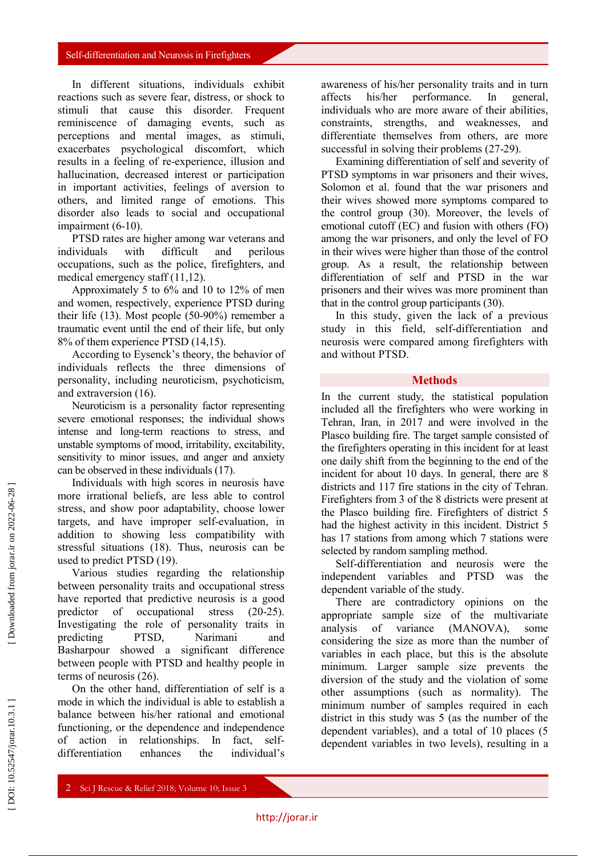In different situations, individuals exhibit reactions such as severe fear, distress, or shock to stimuli that cause this disorder. Frequent reminiscence of damaging events, such as perceptions and mental images, as stimuli, exacerbates psychological discomfort, which results in a feeling of re -experience, illusion and hallucination, decreased interest or participation in important activities, feelings of aversion to others, and limited range of emotions. This disorder also leads to social and occupational impairment (6 -10).

PTSD rates are higher among war veterans and individuals with difficult and perilous occupations, such as the police, firefighters, and medical emergency staff (11,12).

Approximately 5 to 6% and 10 to 12% of men and women , respectively, experience PTSD during their life (13). Most people (50 -90 %) remember a traumatic event until the end of their life, but only 8% of them experience PTSD (14,15).

According to Eysenck's theory, the behavior of individuals reflects the three dimensions of personality, including neuroticism, psychoticism, and extraversion (16).

Neuroticism is a personality factor representing sever e emotional responses ; the individual shows intense and long -term reactions to stress, and unstable symptoms of mood, irritability, excitability, sensitivity to minor issues, and anger and anxiety can be observed in these individuals (17).

Individuals with high scores in neurosis have more irrational beliefs, are less able to control stress , and show poor adaptability, choose lower targets, and have improper self-evaluation, in addition to showing less compatibility with stressful situations (18). Thus, neurosis can be used to predict PTSD (19).

Various studies regarding the relationship between personality traits and occupational stress have reported that predictive neurosis is a good predictor of occupational stress  $(20-25)$ . Investigating the role of personality traits in predicting PTSD, , Narimani and Basharpour showed a significant difference between people with PTSD and healthy people in terms of neurosis (26).

On the other hand, differentiation of self is a mode in which the individual is able to establish a balance between his/her rational and emotional functioning, or the dependence and independence of action in relationships. In fact, selfdifferentiation enhances the individual's

awareness of his/her personality traits and in turn affects his/her performance. In general, individuals who are more aware of their abilities, constraints, strengths, and weaknesses, and differentiate themselves from others, are more successful in solving their problems (27-29).

Examining differentiation of self and severity of PTSD symptoms in war prisoners and their wives, Solomon et al. found that the war prisoners and their wives showed more symptoms compared to the control group (30). Moreover, the levels of emotional cutoff (EC) and fusion with others (FO) among the war prisoners , and only the level of FO in their wives were higher than those of the control group. As a result, the relationship between differentiation of self and PTSD in the war prisoners and their wives was more prominent than that in the control group participants (30).

In this study, given the lack of a previous stud y in this field, self-differentiation and neurosis were compared among firefighters with and without PTSD .

#### **Methods**

In the current study, the statistical population included all the firefighters who were working in Tehran, Iran, in 2017 and were involved in the Plasco building fire. The target sample consisted of the firefighters operating in this incident for at least one daily shift from the beginning to the end of the incident for about 10 days. In general , there are 8 districts and 117 fire stations in the city of Tehran. Firefighters from 3 of the 8 districts were present at the Pla sco building fire. Firefighters of district 5 had the highest activity in this incident . District 5 has 17 stations from among which 7 stations were selected by random sampling method.

Self-differentiation and neurosis were the independent variables and PTSD was the dependent variable of the study.

There are contradictory opinions on the appropriate sample size of the multivariate analysis of variance (MANOVA), some considering the size as more than the number of variables in each place, but this is the absolute minimum. Larger sample size prevents the diversion of the study and the violation of some other assumptions (such as normality). The minimum number of samples required in each district in this study was 5 (as the number of the dependent variables), and a total of 10 place s (5 dependent variables in two levels), resulting in a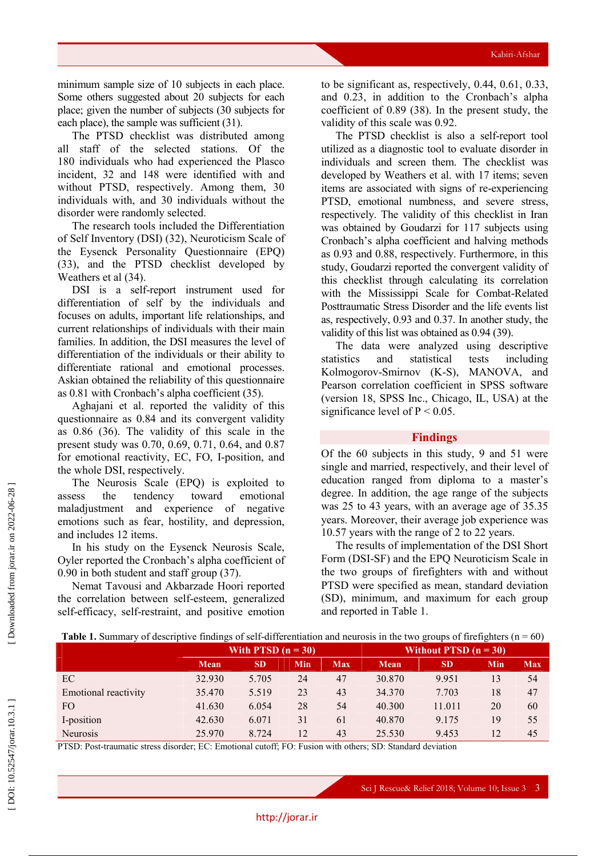minimum sample size of 10 subjects in each place. Some others suggested about 20 subjects for each place; given the number of subjects (30 subjects for each place ), the sample was sufficient (31) .

The PTSD checklist was distributed among all staff of the selected stations. Of the 180 individuals who had experienced the Plasco incident, 32 and 148 were identified with and without PTSD, respectively. Among them, 30 individuals with, and 30 individuals without the disorder were randomly selected.

The research tools included the Differentiation of Self Inventory (DSI) (32), Neuroticism Scale of the Eysenck Personality Questionnaire (EPQ) (33), and the PTSD checklist developed by Weathers et al (34) .

DSI is a self-report instrument used for differentiation of self by the individuals and focuses on adults, important life relationships, and current relationships of individuals with their main families . In addition , the DSI measures the level of differentiation of the individuals or their ability to differentiate rational and emotional processes. Askian obtained the reliability of this questionnaire as 0.81 with Cronbach's alpha coefficient (3 5).

Aghajani et al. reported the validity of this questionnaire as 0.84 and its convergent validity as 0.86 (3 6). The validity of this scale in the present study was 0.70, 0.69, 0.71, 0.64, and 0.87 for emotional reactivity, EC, FO, I -position, and the whole DSI, respectively.

The Neurosis Scale (EPQ) is exploited to assess the tendency toward emotional maladjustment and experience of negative emotions such as fear, hostility, and depression, and include s 12 items.

In his study on the Eysenck Neurosis Scale, Oyler reported the Cronbach's alpha coefficient of 0.90 in both student and staff group (3 7).

Nemat Tavousi and Akbarzade Hoori reported the correlation between self-esteem, generalized self-efficacy, self-restraint, and positive emotion to be significant as , respectively , 0.44, 0.61, 0.33, and 0.23, in addition to the Cronbach's alpha coefficient of 0.89 (3 8). In the present study, the validity of this scale was 0.92.

The PTSD checklist is also a self-report tool utilized as a diagnostic tool to evaluate disorder in individuals and screen them. The checklist was developed by Weathers et al. with 17 items ; seven items are associated with signs of re -experiencing PTSD, emotional numbness, and severe stress, respectively. The validity of this checklist in Iran was obtained by Goudarzi for 117 subjects using Cronbach's alpha coefficient and halving methods as 0.93 and 0.88, respectively. Furthermore, in this study, Goudarzi reported the convergent validity of this checklist through calculating its correlation with the Mississippi Scale for Combat -Related Posttraumatic Stress Disorder and the life events list as , respectively , 0.93 and 0.37. In another study, the validity of this list was obtained as 0.94 (39).

The data were analyzed using descriptive statistics and statistical tests including Kolmogorov -Smirnov (K -S), MANOVA, and Pearson correlation coefficient in SPSS software (version 18, SPSS Inc., Chicago, IL, USA) at the significance level of  $P < 0.05$ .

#### **Findings**

Of the 60 subjects in this study, 9 and 51 were single and married, respectively, and their level of education ranged from diploma to a master's degree. In addition, the age range of the subjects was 25 to 43 years, with an average age of 35.35 years. Moreover, their average job experience was 10.57 years with the range of 2 to 22 years.

The results of implementation of the DSI Short Form (DSI -SF) and the EPQ Neuroticism Scale in the two groups of firefighters with and without PTSD were specified as mean, standard deviation (SD), minimum, and maximum for each group and reported in Table 1 .

|  | <b>Table 1.</b> Summary of descriptive findings of self-differentiation and neurosis in the two groups of firefighters ( $n = 60$ ) |
|--|-------------------------------------------------------------------------------------------------------------------------------------|
|  |                                                                                                                                     |

|                             | With $\overline{PTSD}$ (n = 30) |           |     | Without PTSD $(n = 30)$ |        |           |     |            |
|-----------------------------|---------------------------------|-----------|-----|-------------------------|--------|-----------|-----|------------|
|                             | Mean                            | <b>SD</b> | Min | <b>Max</b>              | Mean   | <b>SD</b> | Min | <b>Max</b> |
| EC                          | 32.930                          | 5.705     | 24  | 47                      | 30.870 | 9.951     | 13  | 54         |
| <b>Emotional reactivity</b> | 35.470                          | 5.519     | 23  | 43                      | 34.370 | 7.703     | 18  | 47         |
| FO                          | 41.630                          | 6.054     | 28  | 54                      | 40.300 | 11.011    | 20  | 60         |
| I-position                  | 42.630                          | 6.071     | 31  | 61                      | 40.870 | 9.175     | 19  | 55         |
| <b>Neurosis</b>             | 25.970                          | 8.724     | 12  | 43                      | 25.530 | 9.453     | 12  | 45         |

PTSD: Post -traumatic stress disorder; EC: Emotional cutoff; FO: Fusion with others; SD: Standard deviation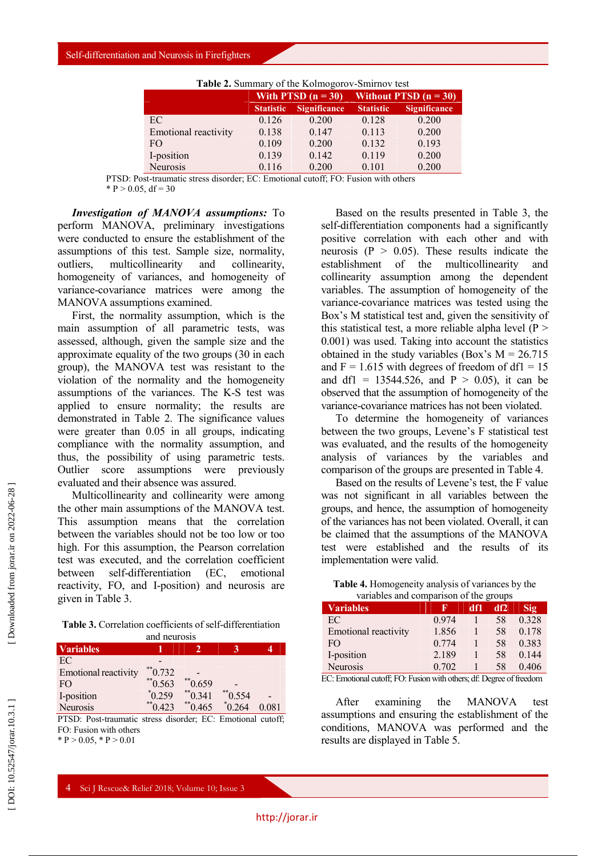| <b>Table 2.</b> Building y of the Konnogolov-Billinov test |                  |                      |                         |                     |  |  |  |
|------------------------------------------------------------|------------------|----------------------|-------------------------|---------------------|--|--|--|
|                                                            |                  | With PTSD $(n = 30)$ | Without PTSD $(n = 30)$ |                     |  |  |  |
|                                                            | <b>Statistic</b> | <b>Significance</b>  | <b>Statistic</b>        | <b>Significance</b> |  |  |  |
| EC                                                         | 0.126            | 0.200                | 0.128                   | 0.200               |  |  |  |
| <b>Emotional reactivity</b>                                | 0.138            | 0.147                | 0.113                   | 0.200               |  |  |  |
| F <sub>O</sub>                                             | 0.109            | 0.200                | 0.132                   | 0.193               |  |  |  |
| I-position                                                 | 0.139            | 0.142                | 0.119                   | 0.200               |  |  |  |
| Neurosis                                                   | 0.116            | 0.200                | 0.101                   | 0.200               |  |  |  |

| Table 2. Summary of the Kolmogorov-Smirnov test |
|-------------------------------------------------|
|                                                 |

PTSD: Post -traumatic stress disorder; EC: Emotional cutoff; FO: Fusion with others  $* P > 0.05$  df = 30

*Investigation of MANOVA assumptions :* To perform MANOVA, preliminary investigations were conducted to ensure the establishment of the assumptions of this test. Sample size, normality, outliers, multicollinearity and collinearity. homogeneity of variances, and homogeneity of variance -covariance matrices were among the MANOVA assumptions examined.

First, the normality assumption, which is the main assumption of all parametric tests, was assessed, although , given the sample size and the approximate equality of the two groups (30 in each group), the MANOVA test was resistant to the violation of the normality and the homogeneity assumptions of the variances. The K -S test was applied to ensure normality ; the results are demonstrated in Table 2. The significance values were greater than 0.05 in all groups, indicating compliance with the normality assumption, and thus , the possibility of using parametric tests. Outlier score assumptions were previously evaluated and their absence was assured.

Multicol linearity and collinearity were among the other main assumptions of the MANOVA test. This assumption means that the correlation between the variables should not be too low or too high. For this assumption, the Pearson correlation test was executed , and the correlation coefficient between self-differentiation (EC, emotional reactivity, FO, and I -position) and neurosis are given in Table 3 .

**Table 3.** Correlation coefficients of self-differentiation and neurosis

| <b>Variables</b>                                                                                                                                                                                                                                                                                         |                      |                         |                        |       |
|----------------------------------------------------------------------------------------------------------------------------------------------------------------------------------------------------------------------------------------------------------------------------------------------------------|----------------------|-------------------------|------------------------|-------|
| EC                                                                                                                                                                                                                                                                                                       |                      |                         |                        |       |
| <b>Emotional reactivity</b>                                                                                                                                                                                                                                                                              | **<br>0.732          |                         |                        |       |
| FO                                                                                                                                                                                                                                                                                                       | $*$ <sup>0.563</sup> | $*$ <sup>**</sup> 0.659 |                        |       |
| I-position                                                                                                                                                                                                                                                                                               | $*0.259$             | $*$ <sup>6</sup> 0.341  | $*$ <sup>6</sup> 0.554 |       |
| <b>Neurosis</b>                                                                                                                                                                                                                                                                                          | ** -                 | $*$ <sup>6</sup> 0.465  | $*$ 0 264              | 0.081 |
| $\mathbf{D} \mathbf{T} \mathbf{C} \mathbf{D}$ , $\mathbf{D}$ , $\mathbf{A}$ , $\mathbf{A}$ , $\mathbf{A}$ , $\mathbf{A}$ , $\mathbf{A}$ , $\mathbf{A}$ , $\mathbf{A}$ , $\mathbf{A}$ , $\mathbf{D} \mathbf{C}$ , $\mathbf{D}$ , $\mathbf{A}$ , $\mathbf{A}$ , $\mathbf{A}$ , $\mathbf{A}$ , $\mathbf{A}$ |                      |                         |                        |       |

PTSD: Post -traumatic stress disorder; EC: Emotional cutoff; FO: Fusion with others  $* P > 0.05, * P > 0.01$ 

Based on the results presented in Table 3, the self-differentiation components had a significantly positive correlation with each other and with neurosis ( $P > 0.05$ ). These results indicate the establishment of the multicollinearity and collinearity assumption among the dependent variables. The assumption of homogeneity of the variance - covariance matrices was tested using the Box's M statistical test and, given the sensitivity of this statistical test, a more reliable alpha level ( $P >$ 0.001) was used. Taking into account the statistics obtained in the study variables (Box's  $M = 26.715$ ) and  $F = 1.615$  with degrees of freedom of df1 = 15 and df1 = 13544.526, and  $P > 0.05$ ), it can be observed that the assumption of homogeneity of the variance -covariance matrices has not been violated.

To determine the homogeneity of variances between the two groups, Levene's F statistical test was evaluated, and the results of the homogeneity analysis of variances by the variables and comparison of the groups are presented in Table 4.

Based on the results of Levene's test, the F value was not significant in all variables between the groups , and hence, the assumption of homogeneity of the variances has not been violated. Overall, it can be claimed that the assumptions of the MANOVA test were established and the results of its implementation were valid.

**Table 4.** Homogeneity analysis of variances by the variables and comparison of the groups

| <b>Variables</b>            | н     | df1 | df2 | Sig   |
|-----------------------------|-------|-----|-----|-------|
| EC                          | 0.974 |     | 58  | 0.328 |
| <b>Emotional reactivity</b> | 1.856 |     | 58  | 0.178 |
| FO.                         | 0.774 |     | 58  | 0.383 |
| I-position                  | 2.189 |     | 58  | 0.144 |
| Neurosis                    | 0.702 |     | 58  | 0.406 |

EC: Emotional cutoff; FO: Fusion with others; df: Degree of freedom

After examining the MANOVA test assumptions and ensuring the establishment of the conditions, MANOVA was performed and the results are displayed in Table 5.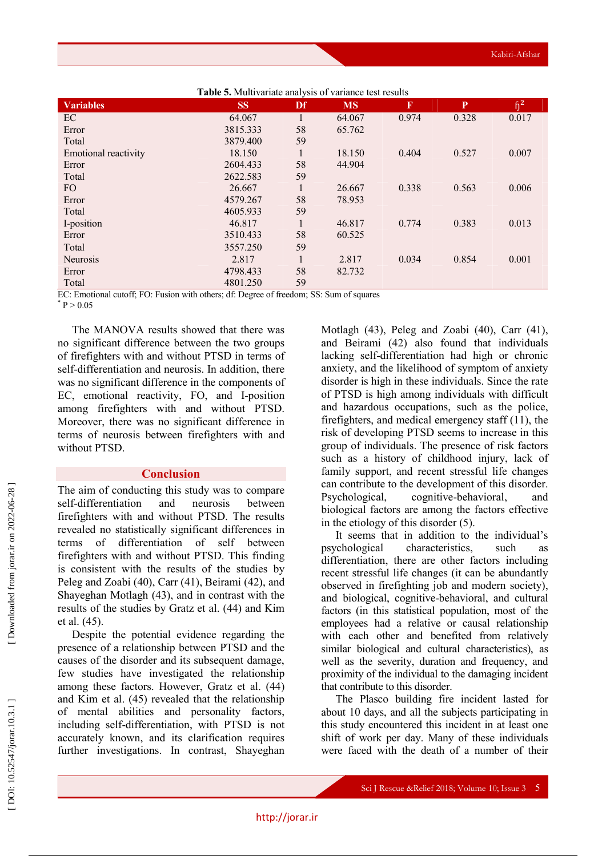| <b>I able 5.</b> Multivariate analysis of variance test results |           |    |           |             |              |                  |  |  |
|-----------------------------------------------------------------|-----------|----|-----------|-------------|--------------|------------------|--|--|
| <b>Variables</b>                                                | <b>SS</b> | Df | <b>MS</b> | $\mathbf F$ | $\mathbf{P}$ | $\mathfrak{h}^2$ |  |  |
| EC                                                              | 64.067    |    | 64.067    | 0.974       | 0.328        | 0.017            |  |  |
| Error                                                           | 3815.333  | 58 | 65.762    |             |              |                  |  |  |
| Total                                                           | 3879.400  | 59 |           |             |              |                  |  |  |
| <b>Emotional reactivity</b>                                     | 18.150    |    | 18.150    | 0.404       | 0.527        | 0.007            |  |  |
| Error                                                           | 2604.433  | 58 | 44.904    |             |              |                  |  |  |
| Total                                                           | 2622.583  | 59 |           |             |              |                  |  |  |
| FO.                                                             | 26.667    |    | 26.667    | 0.338       | 0.563        | 0.006            |  |  |
| Error                                                           | 4579.267  | 58 | 78.953    |             |              |                  |  |  |
| Total                                                           | 4605.933  | 59 |           |             |              |                  |  |  |
| I-position                                                      | 46.817    |    | 46.817    | 0.774       | 0.383        | 0.013            |  |  |
| Error                                                           | 3510.433  | 58 | 60.525    |             |              |                  |  |  |
| Total                                                           | 3557.250  | 59 |           |             |              |                  |  |  |
| <b>Neurosis</b>                                                 | 2.817     |    | 2.817     | 0.034       | 0.854        | 0.001            |  |  |
| Error                                                           | 4798.433  | 58 | 82.732    |             |              |                  |  |  |
| Total                                                           | 4801.250  | 59 |           |             |              |                  |  |  |

**Table 5.** Multivariate analysis of variance test results

EC: Emotional cutoff; FO: Fusion with others; df: Degree of freedom; SS: Sum of squares

The MANOVA results showed that there was no significant difference between the two groups of firefighters with and without PTSD in terms of self-differentiation and neurosis. In addition, there was no significant difference in the components of EC, emotional reactivity, FO, and I -position among firefighters with and without PTSD. Moreover, there was no significant difference in terms of neurosis between firefighters with and without PTSD.

### **Conclusion**

The aim of conducting this study was to compare self-differentiation and neurosis between firefighters with and without PTSD. The results revealed no statistically significant differences in terms of differentiation of self between firefighters with and without PTSD. This finding is consistent with the results of the studies by Peleg and Zoabi (40), Carr (41), Beirami (42), and Shayeghan Motlagh (43), and in contrast with the results of the studies by Gratz et al. (44) and Kim et al. (45).

Despite the potential evidence regarding the presence of a relationship between PTSD and the causes of the disorder and its subsequent damage, few studies have investigated the relationship among these factors. However, Gratz et al. (44) and Kim et al. (45) revealed that the relationship of mental abilities and personality factors, including self-differentiation , with PTSD is not accurately known, and its clarification requires further investigations. In contrast, Shayeghan

Motlagh (43), Peleg and Zoabi (40), Carr (41 ), and Beirami (42) also found that individuals lacking self-differentiation had high or chronic anxiety, and the likelihood of symptom of anxiety disorder is high in these individuals. Since the rate of PTSD is high among individuals with difficult and hazardous occupations, such as the police, firefighters, and medical emergency staff (11), the risk of developing PTSD seems to increase in this group of individuals. The presence of risk factors such as a history of childhood injury, lack of family support, and recent stressful life changes can contribute to the development of this disorder. Psychological, -behavioral, and biological factors are among the factors effective in the etiology of this disorder (5).

It seems that in addition to the individual's psychological characteristics, such as differentiation, there are other factors including recent stressful life changes (it can be abundantly observed in firefighting job and modern society), and biological, cognitive -behavioral, and cultural factors (in this statistical population, most of the employees had a relative or causal relationship with each other and benefited from relatively similar biological and cultural characteristics), as well as the severity, duration and frequency, and proximity of the individual to the damaging incident that contribut e to this disorder.

The Plasco building fire incident lasted for about 10 days, and all the subjects participating in this study encountered this incident in at least one shift of work per day. Many of these individuals were faced with the death of a number of their

 $p > 0.05$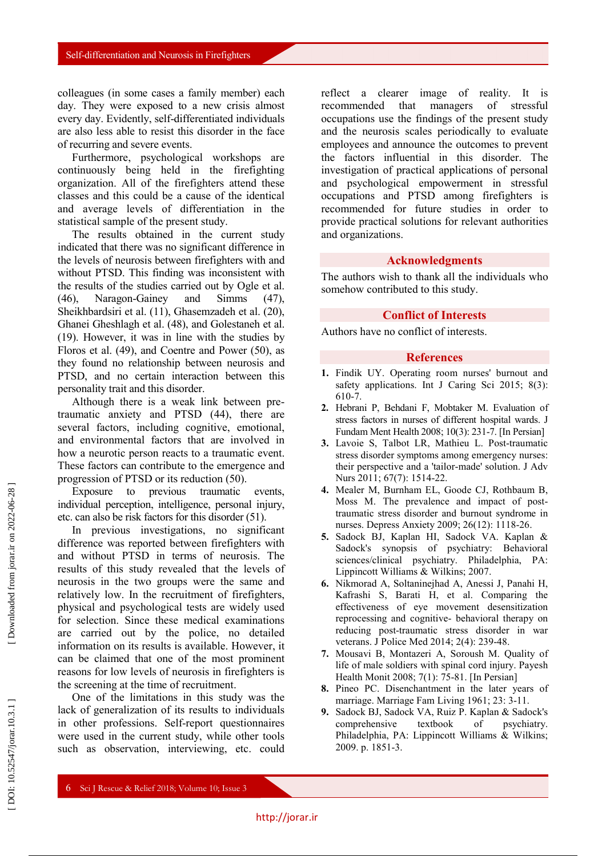colleagues (in some cases a family member) each day. They were exposed to a new crisis almost every day. Evidently, self-differentiated individuals are also less able to resist this disorder in the face of recurring and severe events.

Furthermore, psychological workshops are continuously being held in the firefighting organization. All of the firefighters attend these classes and this could be a cause of the identical and average levels of differentiation in the statistical sample of the present study.

The results obtained in the current study indicated that there was no significant difference in the levels of neurosis between firefighters with and without PTSD. This finding was inconsistent with the results of the studies carried out by Ogle et al. (46), Naragon-Gainey and Simms (47), Sheikhbardsiri et al. (11), Ghasemzadeh et al. (20), Ghanei Gheshlagh et al. (48), and Golestaneh et al. (19) . However, it was in line with the studies by Floros et al. (49 ) , and Coentr e and Power (50), as they found no relationship between neurosis and PTSD, and no certain interaction between this personality trait and this disorder.

Although there is a weak link between pre traumatic anxiety and PTSD (44), there are several factors, including cognitive, emotional, and environmental factors that are involved in how a neurotic person reacts to a traumatic event. These factors can contribute to the em ergence and progression of PTSD or its reduction (50).

Exposure to previous traumatic events, individual perception, intelligence, personal injury, etc. can also be risk factors for this disorder (51).

In previous investigations, no significant difference was reported between firefighters with and without PTSD in terms of neurosis. The results of this study revealed that the levels of neurosis in the two groups were the same and relatively low. In the recruitment of firefighters, physical and psychological tests are widely used for selection. Since these medical examinations are carried out by the police, no detailed information on its results is available. However, it can be claimed that one of the most prominent reasons for low levels of neurosis in firefighters is the screening at the time of recruitment.

One of the limitations in this study was the lack of generalization of its results to individuals in other professions. Self-report questionnaires were used in the current study, while other tools such as observation, interviewing, etc. could reflect a clearer image of reality. It is recommended that managers of stressful occupations use the findings of the present study and the neurosis scales periodically to evaluate employees and announce the outcomes to prevent the factors influential in this disorder. The investigation of practical applications of personal and psychological empowerment in stressful occupations and PTSD among firefighters is recommended for future studies in order to provide practical solutions for relevant authorities and organizations .

### **Acknowledgments**

The authors wish to thank all the individuals who somehow contributed to this study .

#### **Conflict of Interests**

Authors have no conflict of interests.

#### **References**

- **1 .** Findik UY. Operating room nurses' burnout and safety applications. Int J Caring Sci 2015; 8(3): 610 -7.
- **2 .** Hebrani P, Behdani F, Mobtaker M. Evaluation of stress factors in nurses of different hospital wards. J Fundam Ment Health 2008; 10(3): 231 -7. [In Persian]
- **3 .** Lavoie S, Talbot LR, Mathieu L. Post -traumatic stress disorder symptoms among emergency nurses: their perspective and a 'tailor -made' solution. J Adv Nurs 2011; 67(7): 1514-22.
- **4 .** Mealer M, Burnham EL, Goode CJ, Rothbaum B, Moss M. The prevalence and impact of post traumatic stress disorder and burnout syndrome in nurses. Depress Anxiety 2009; 26(12): 1118 -26.
- **5 .** Sadock BJ, Kaplan HI, Sadock VA. Kaplan & Sadock's synopsis of psychiatry: Behavioral sciences/clinical psychiatry. Philadelphia, PA: Lippincott Williams & Wilkins; 2007.
- **6 .** Nikmorad A, Soltaninejhad A, Anessi J, Panahi H, Kafrashi S, Barati H, et al. Comparing the effectiveness of eye movement desensitization reprocessing and cognitive - behavioral therapy on reducing post -traumatic stress disorder in war veterans. J Police Med 2014; 2(4): 239 -48.
- **7 .** Mousavi B, Montazeri A, Soroush M. Quality of life of male soldiers with spinal cord injury. Payesh Health Monit 2008; 7(1): 75 -81. [In Persian]
- **8 .** Pineo PC. Disenchantment in the later years of marriage. Marriage Fam Living 1961; 23: 3 -11.
- **9 .** Sadock BJ, Sadock VA, Ruiz P. Kaplan & Sadock's comprehensive textbook of psychiatry. Philadelphia, PA: Lippincott Williams & Wilkins; 2009. p. 1851 -3.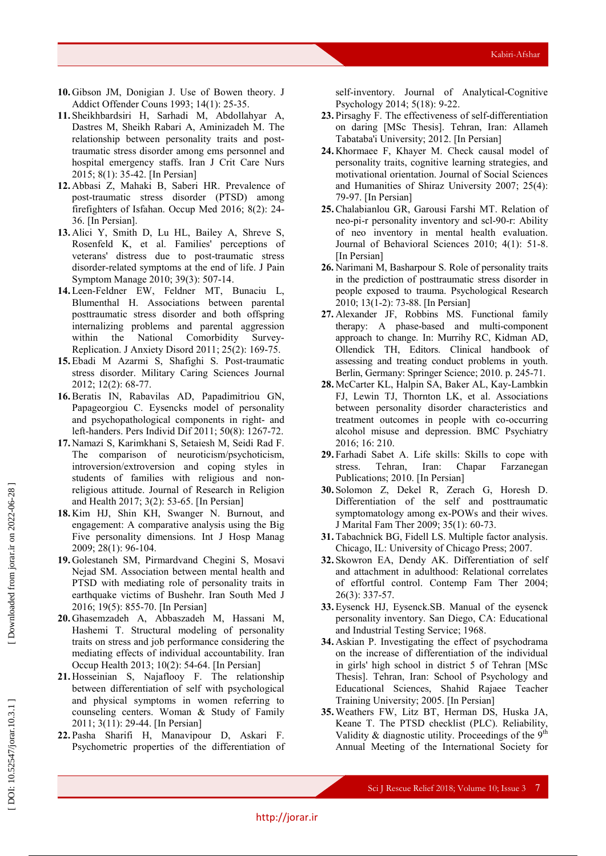- **10 .** Gibson JM, Donigian J. Use of Bowen theory. J Addict Offender Couns 1993; 14(1): 25 -35.
- **11 .** Sheikhbardsiri H, Sarhadi M, Abdollahyar A, Dastres M, Sheikh Rabari A, Aminizadeh M. The relationship between personality traits and post traumatic stress disorder among ems personnel and hospital emergency staffs. Iran J Crit Care Nurs 2015; 8(1): 35 -42. [In Persian]
- **12 .** Abbasi Z, Mahaki B, Saberi HR. Prevalence of post -traumatic stress disorder (PTSD) among firefighters of Isfahan. Occup Med 2016; 8(2): 24 - 36. [In Persian].
- **13 .** Alici Y, Smith D, Lu HL, Bailey A, Shreve S, Rosenfeld K, et al. Families' perceptions of veterans' distress due to post -traumatic stress disorder -related symptoms at the end of life. J Pain Symptom Manage 2010; 39(3): 507 -14.
- **14 .** Leen -Feldner EW, Feldner MT, Bunaciu L, Blumenthal H. Associations between parental posttraumatic stress disorder and both offspring internalizing problems and parental aggression within the National Comorbidity Survey-Replication. J Anxiety Disord 2011; 25(2): 169 -75.
- **15 .** Ebadi M Azarmi S , Shafighi S . Post -traumatic stress disorder. Military Caring Sciences Journal 2012; 12(2): 68 -77.
- **16 .**Beratis IN, Rabavilas AD, Papadimitriou GN, Papageorgiou C. Eysencks model of personality and psychopathological components in right - and left -handers. Pers Individ Dif 2011; 50(8): 1267 -72.
- **17 .** Namazi S, Karimkhani S, Setaiesh M, Seidi Rad F. The comparison of neuroticism/psychoticism, introversion/extroversion and coping styles in students of families with religious and non religious attitude. Journal of Research in Religion and Health 2017; 3(2): 53 -65. [In Persian]
- **18 .** Kim HJ, Shin KH, Swanger N. Burnout, and engagement: A comparative analysis using the Big Five personality dimensions. Int J Hosp Manag 2009; 28(1): 96 -104.
- **19 .** Golestaneh SM, Pirmardvand Chegini S, Mosavi Nejad SM. Association between mental health and PTSD with mediating role of personality traits in earthquake victims of Bushehr. Iran South Med J 2016; 19(5): 855 -70. [In Persian]
- **20 .** Ghasemzadeh A, Abbaszadeh M, Hassani M, Hashemi T. Structural modeling of personality traits on stress and job performance considering the mediating effects of individual accountability. Iran Occup Health 2013; 10(2): 54 -64. [In Persian]
- **21 .** Hosseinian S, Najaflooy F. The relationship between differentiation of self with psychological and physical symptoms in women referring to counseling centers. Woman & Study of Family 2011; 3(11): 29-44. [In Persian]
- **22 .** Pasha Sharifi H, Manavipour D, Askari F. Psychometric properties of the differentiation of

self-inventory. Journal of Analytical-Cognitive Psychology 2014; 5(18): 9 -22.

- **23 .** Pirsaghy F. The effectiveness of self-differentiation on daring [MSc Thesis]. Tehran, Iran: Allameh Tabataba'i University; 2012. [In Persian]
- **24 .** Khormaee F, Khayer M. Check causal model of personality traits, cognitive learning strategies, and motivational orientation. Journal of Social Sciences and Humanities of Shiraz University 2007; 25(4): 79 -97. [In Persian ]
- **25 .**Chalabianlou GR, Garousi Farshi MT. Relation of neo -pi -r personality inventory and scl -90 -r: Ability of neo inventory in mental health evaluation. Journal of Behavioral Sciences 2010; 4(1): 51 -8. [In Persian]
- **26 .** Narimani M, Basharpour S. Role of personality traits in the prediction of posttraumatic stress disorder in people exposed to trauma. Psychological Research 2010; 13(1 -2): 73 -88. [In Persian]
- **27 .** Alexander JF, Robbins MS. Functional family therapy: A phase -based and multi -component approach to change. In: Murrihy RC, Kidman AD, Ollendick TH, Editors. Clinical handbook of assessing and treating conduct problems in youth. Berlin, Germany: Springer Science; 2010. p. 245-71.
- **28 .** McCarter KL, Halpin SA, Baker AL, Kay -Lambkin FJ, Lewin TJ, Thornton LK, et al. Associations between personality disorder characteristics and treatment outcomes in people with co -occurring alcohol misuse and depression. BMC Psychiatry 2016; 16: 210.
- **29 .** Farhadi Sabet A. Life skills: Skills to cope with stress. Tehran, Iran: Chapar Farzanegan Publications; 2010. [In Persian]
- **30 .** Solomon Z, Dekel R, Zerach G, Horesh D. Differentiation of the self and posttraumatic symptomatology among ex -POWs and their wives. J Marital Fam Ther 2009; 35(1): 60 -73.
- **31 .** Tabachnick BG, Fidell LS. Multiple factor analysis. Chicago, IL: University of Chicago Press; 2007.
- **32 .** Skowron EA, Dendy AK. Differentiation of self and attachment in adulthood: Relational correlates of effortful control. Contemp Fam Ther 2004; 26(3): 337 -57.
- **33 .** Eysenck HJ, Eysenck.SB. Manual of the eysenck personality inventory. San Diego, CA: Educational and Industrial Testing Service; 1968.
- **34 .** Askian P. Investigating the effect of psychodrama on the increase of differentiation of the individual in girls' high school in district 5 of Tehran [MSc Thesis]. Tehran, Iran: School of Psychology and Educational Sciences, Shahid Rajaee Teacher Training University; 2005. [In Persian ]
- **35 .** Weathers FW, Litz BT, Herman DS, Huska JA, Keane T. The PTSD checklist (PLC). Reliability, Validity & diagnostic utility. Proceedings of the  $9<sup>th</sup>$ Annual Meeting of the International Society for

Downloaded from jorar ir on 2022-06-28